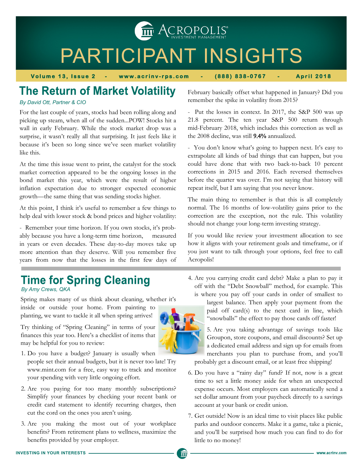THE ACROPOLIS<sup>®</sup>

# PARTICIPANT INSIGHTS

**Volume 13, Issue 2 - www.acrinv-rps.com - (888) 838-0767 - April 2018** 

### **The Return of Market Volatility**

#### *By David Ott, Partner & CIO*

For the last couple of years, stocks had been rolling along and picking up steam, when all of the sudden...POW! Stocks hit a wall in early February. While the stock market drop was a surprise, it wasn't really all that surprising. It just feels like it because it's been so long since we've seen market volatility like this.

At the time this issue went to print, the catalyst for the stock market correction appeared to be the ongoing losses in the bond market this year, which were the result of higher inflation expectation due to stronger expected economic growth—the same thing that was sending stocks higher.

At this point, I think it's useful to remember a few things to help deal with lower stock & bond prices and higher volatility:

- Remember your time horizon. If you own stocks, it's probably because you have a long-term time horizon, measured in years or even decades. These day-to-day moves take up more attention than they deserve. Will you remember five years from now that the losses in the first few days of

February basically offset what happened in January? Did you remember the spike in volatility from 2015?

- Put the losses in context. In 2017, the S&P 500 was up 21.8 percent. The ten year S&P 500 return through mid-February 2018, which includes this correction as well as the 2008 decline, was still 9.4% annualized.

- You don't know what's going to happen next. It's easy to extrapolate all kinds of bad things that can happen, but you could have done that with two back-to-back 10 percent corrections in 2015 and 2016. Each reversed themselves before the quarter was over. I'm not saying that history will repeat itself, but I am saying that you never know.

The main thing to remember is that this is all completely normal. The 16 months of low-volatility gains prior to the correction are the exception, not the rule. This volatility should not change your long-term investing strategy.

If you would like review your investment allocation to see how it aligns with your retirement goals and timeframe, or if you just want to talk through your options, feel free to call Acropolis!

## **Time for Spring Cleaning**

*By Amy Crews, QKA*

Spring makes many of us think about cleaning, whether it's inside or outside your home. From painting to planting, we want to tackle it all when spring arrives!

Try thinking of "Spring Cleaning" in terms of your finances this year too. Here's a checklist of items that may be helpful for you to review:

- 1. Do you have a budget? January is usually when people set their annual budgets, but it is never too late! Try www.mint.com for a free, easy way to track and monitor your spending with very little ongoing effort.
- 2. Are you paying for too many monthly subscriptions? Simplify your finances by checking your recent bank or credit card statement to identify recurring charges, then cut the cord on the ones you aren't using.
- 3. Are you making the most out of your workplace benefits? From retirement plans to wellness, maximize the benefits provided by your employer.

4. Are you carrying credit card debt? Make a plan to pay it off with the "Debt Snowball" method, for example. This is where you pay off your cards in order of smallest to



5. Are you taking advantage of savings tools like Groupon, store coupons, and email discounts? Set up a dedicated email address and sign up for emails from merchants you plan to purchase from, and you'll probably get a discount email, or at least free shipping!

- 6. Do you have a "rainy day" fund? If not, now is a great time to set a little money aside for when an unexpected expense occurs. Most employers can automatically send a set dollar amount from your paycheck directly to a savings account at your bank or credit union.
- 7. Get outside! Now is an ideal time to visit places like public parks and outdoor concerts. Make it a game, take a picnic, and you'll be surprised how much you can find to do for little to no money!



m